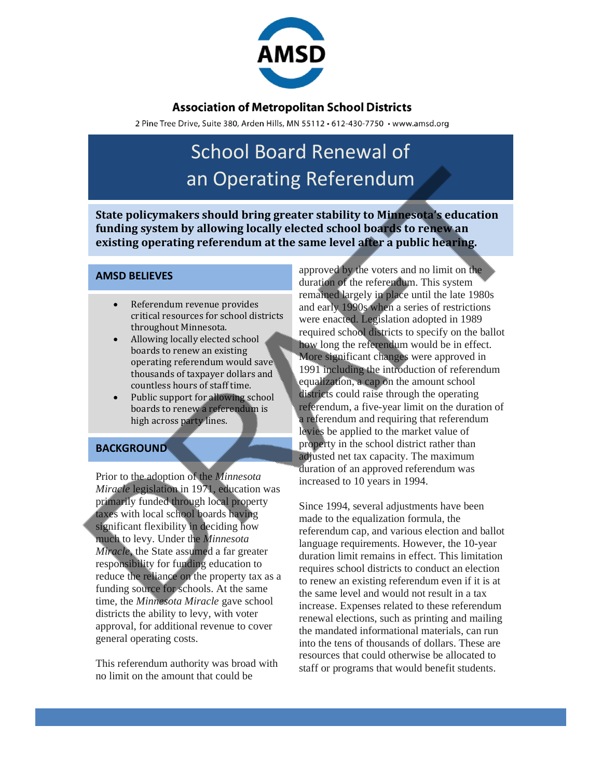

## **Association of Metropolitan School Districts**

2 Pine Tree Drive, Suite 380, Arden Hills, MN 55112 · 612-430-7750 · www.amsd.org

# School Board Renewal of an Operating Referendum

**State policymakers should bring greater stability to Minnesota's education funding system by allowing locally elected school boards to renew an existing operating referendum at the same level after a public hearing.**

### **AMSD BELIEVES**

- Referendum revenue provides critical resources for school districts throughout Minnesota.
- Allowing locally elected school boards to renew an existing operating referendum would save thousands of taxpayer dollars and countless hours of staff time.
- Public support for allowing school boards to renew a referendum is high across party lines.

### **BACKGROUND**

Prior to the adoption of the *Minnesota Miracle* legislation in 1971, education was primarily funded through local property taxes with local school boards having significant flexibility in deciding how much to levy. Under the *Minnesota Miracle*, the State assumed a far greater responsibility for funding education to reduce the reliance on the property tax as a funding source for schools. At the same time, the *Minnesota Miracle* gave school districts the ability to levy, with voter approval, for additional revenue to cover general operating costs.

This referendum authority was broad with no limit on the amount that could be

approved by the voters and no limit on the duration of the referendum. This system remained largely in place until the late 1980s and early 1990s when a series of restrictions were enacted. Legislation adopted in 1989 required school districts to specify on the ballot how long the referendum would be in effect. More significant changes were approved in 1991 including the introduction of referendum equalization, a cap on the amount school districts could raise through the operating referendum, a five-year limit on the duration of a referendum and requiring that referendum levies be applied to the market value of property in the school district rather than adjusted net tax capacity. The maximum duration of an approved referendum was increased to 10 years in 1994.

Since 1994, several adjustments have been made to the equalization formula, the referendum cap, and various election and ballot language requirements. However, the 10-year duration limit remains in effect. This limitation requires school districts to conduct an election to renew an existing referendum even if it is at the same level and would not result in a tax increase. Expenses related to these referendum renewal elections, such as printing and mailing the mandated informational materials, can run into the tens of thousands of dollars. These are resources that could otherwise be allocated to staff or programs that would benefit students.